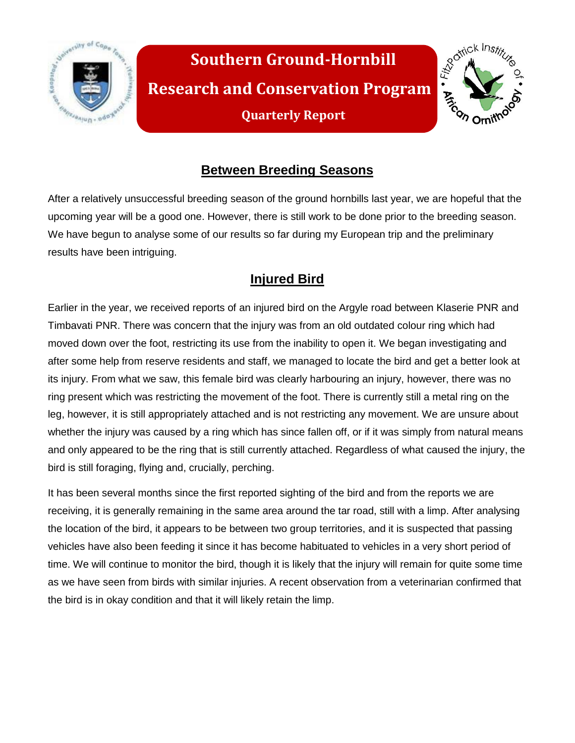



# **Between Breeding Seasons**

After a relatively unsuccessful breeding season of the ground hornbills last year, we are hopeful that the upcoming year will be a good one. However, there is still work to be done prior to the breeding season. We have begun to analyse some of our results so far during my European trip and the preliminary results have been intriguing.

## **Injured Bird**

Earlier in the year, we received reports of an injured bird on the Argyle road between Klaserie PNR and Timbavati PNR. There was concern that the injury was from an old outdated colour ring which had moved down over the foot, restricting its use from the inability to open it. We began investigating and after some help from reserve residents and staff, we managed to locate the bird and get a better look at its injury. From what we saw, this female bird was clearly harbouring an injury, however, there was no ring present which was restricting the movement of the foot. There is currently still a metal ring on the leg, however, it is still appropriately attached and is not restricting any movement. We are unsure about whether the injury was caused by a ring which has since fallen off, or if it was simply from natural means and only appeared to be the ring that is still currently attached. Regardless of what caused the injury, the bird is still foraging, flying and, crucially, perching.

It has been several months since the first reported sighting of the bird and from the reports we are receiving, it is generally remaining in the same area around the tar road, still with a limp. After analysing the location of the bird, it appears to be between two group territories, and it is suspected that passing vehicles have also been feeding it since it has become habituated to vehicles in a very short period of time. We will continue to monitor the bird, though it is likely that the injury will remain for quite some time as we have seen from birds with similar injuries. A recent observation from a veterinarian confirmed that the bird is in okay condition and that it will likely retain the limp.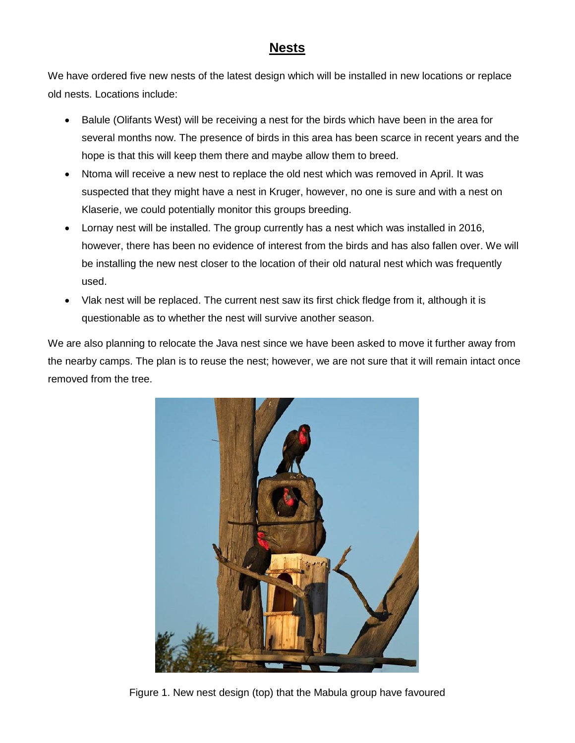### **Nests**

We have ordered five new nests of the latest design which will be installed in new locations or replace old nests. Locations include:

- Balule (Olifants West) will be receiving a nest for the birds which have been in the area for several months now. The presence of birds in this area has been scarce in recent years and the hope is that this will keep them there and maybe allow them to breed.
- Ntoma will receive a new nest to replace the old nest which was removed in April. It was suspected that they might have a nest in Kruger, however, no one is sure and with a nest on Klaserie, we could potentially monitor this groups breeding.
- Lornay nest will be installed. The group currently has a nest which was installed in 2016, however, there has been no evidence of interest from the birds and has also fallen over. We will be installing the new nest closer to the location of their old natural nest which was frequently used.
- Vlak nest will be replaced. The current nest saw its first chick fledge from it, although it is questionable as to whether the nest will survive another season.

We are also planning to relocate the Java nest since we have been asked to move it further away from the nearby camps. The plan is to reuse the nest; however, we are not sure that it will remain intact once removed from the tree.



Figure 1. New nest design (top) that the Mabula group have favoured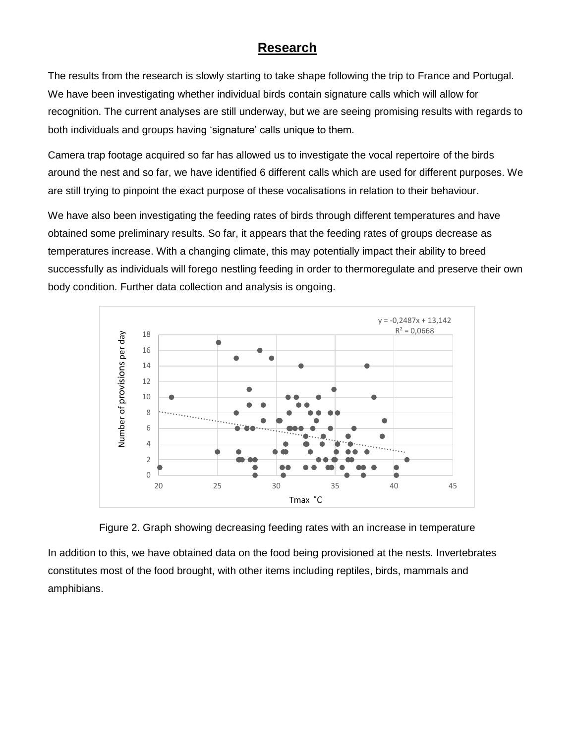### **Research**

The results from the research is slowly starting to take shape following the trip to France and Portugal. We have been investigating whether individual birds contain signature calls which will allow for recognition. The current analyses are still underway, but we are seeing promising results with regards to both individuals and groups having 'signature' calls unique to them.

Camera trap footage acquired so far has allowed us to investigate the vocal repertoire of the birds around the nest and so far, we have identified 6 different calls which are used for different purposes. We are still trying to pinpoint the exact purpose of these vocalisations in relation to their behaviour.

We have also been investigating the feeding rates of birds through different temperatures and have obtained some preliminary results. So far, it appears that the feeding rates of groups decrease as temperatures increase. With a changing climate, this may potentially impact their ability to breed successfully as individuals will forego nestling feeding in order to thermoregulate and preserve their own body condition. Further data collection and analysis is ongoing.





In addition to this, we have obtained data on the food being provisioned at the nests. Invertebrates constitutes most of the food brought, with other items including reptiles, birds, mammals and amphibians.